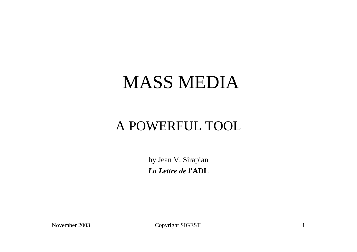#### MASS MEDIA

#### A POWERFUL TOOL

by Jean V. Sirapian *La Lettre de l***'ADL**

November 2003 Copyright SIGEST 1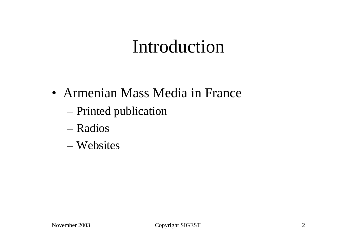#### Introduction

- Armenian Mass Media in France
	- Printed publication
	- Radios
	- Websites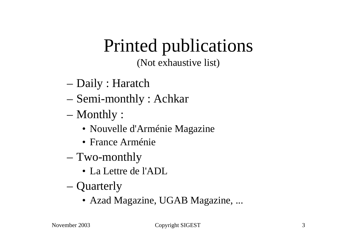# Printed publications

(Not exhaustive list)

- Daily : Haratch
- Semi-monthly : Achkar
- Monthly :
	- Nouvelle d'Arménie Magazine
	- France Arménie
- Two-monthly
	- La Lettre de l'ADL
- Quarterly
	- Azad Magazine, UGAB Magazine, ...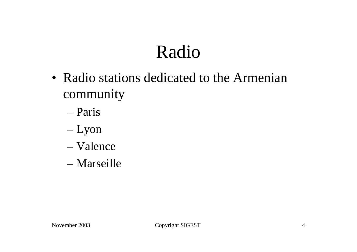### Radio

- Radio stations dedicated to the Armenian community
	- Paris
	- Lyon
	- Valence
	- Marseille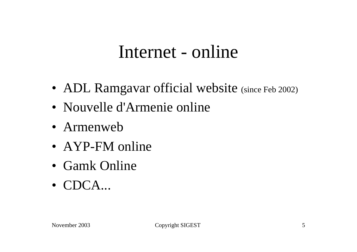#### Internet - online

- ADL Ramgavar official website (since Feb 2002)
- Nouvelle d'Armenie online
- Armenweb
- AYP-FM online
- Gamk Online
- CDCA...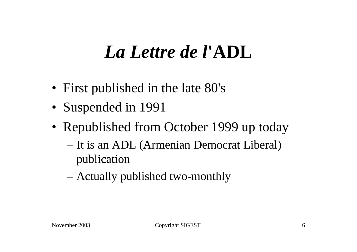### *La Lettre de l***'ADL**

- First published in the late 80's
- Suspended in 1991
- Republished from October 1999 up today
	- It is an ADL (Armenian Democrat Liberal) publication
	- Actually published two-monthly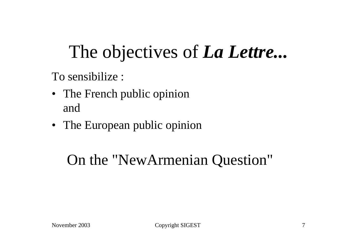## The objectives of *La Lettre...*

To sensibilize :

- The French public opinion and
- The European public opinion

#### On the "NewArmenian Question"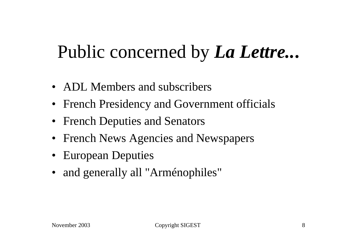### Public concerned by *La Lettre..***.**

- ADL Members and subscribers
- French Presidency and Government officials
- French Deputies and Senators
- French News Agencies and Newspapers
- European Deputies
- and generally all "Arménophiles"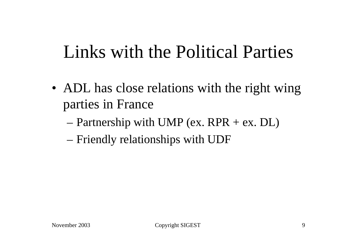### Links with the Political Parties

- ADL has close relations with the right wing parties in France
	- Partnership with UMP (ex.  $RPR + ex$ . DL)
	- Friendly relationships with UDF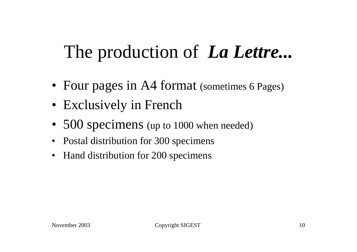### The production of *La Lettre...*

- Four pages in A4 format (sometimes 6 Pages)
- Exclusively in French
- 500 specimens (up to 1000 when needed)
- Postal distribution for 300 specimens
- Hand distribution for 200 specimens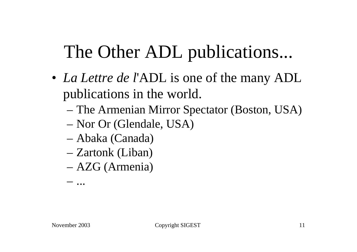## The Other ADL publications...

- *La Lettre de l'ADL* is one of the many ADL publications in the world.
	- The Armenian Mirror Spectator (Boston, USA)
	- Nor Or (Glendale, USA)
	- Abaka (Canada)
	- Zartonk (Liban)
	- AZG (Armenia)

– ...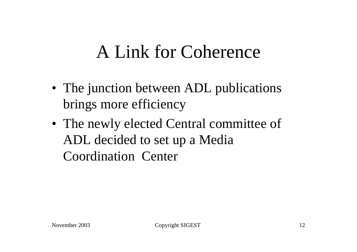#### A Link for Coherence

- The junction between ADL publications brings more efficiency
- The newly elected Central committee of ADL decided to set up a Media Coordination Center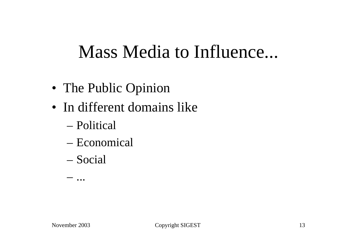#### Mass Media to Influence...

- The Public Opinion
- In different domains like
	- Political
	- Economical
	- Social

– ...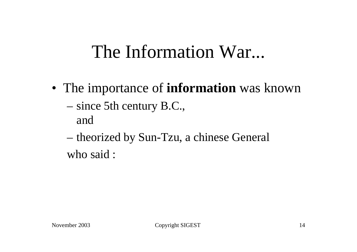#### The Information War...

- The importance of **information** was known
	- since 5th century B.C., and
	- theorized by Sun-Tzu, a chinese General who said :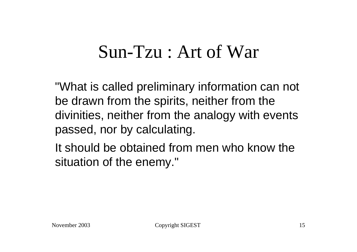#### Sun-Tzu : Art of War

"What is called preliminary information can not be drawn from the spirits, neither from the divinities, neither from the analogy with events passed, nor by calculating.

It should be obtained from men who know the situation of the enemy."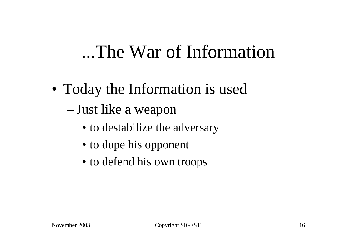#### ...The War of Information

- Today the Information is used – Just like a weapon
	- to destabilize the adversary
	- to dupe his opponent
	- to defend his own troops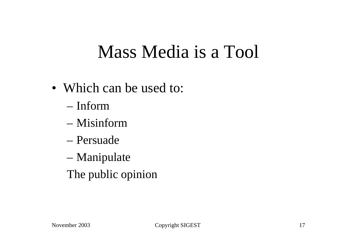### Mass Media is a Tool

- Which can be used to:
	- Inform
	- Misinform
	- Persuade
	- Manipulate
	- The public opinion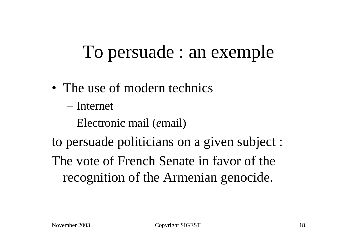## To persuade : an exemple

- The use of modern technics
	- Internet
	- Electronic mail (*e*mail)

to persuade politicians on a given subject : The vote of French Senate in favor of the recognition of the Armenian genocide.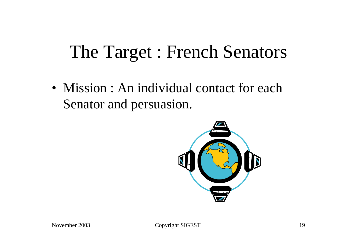### The Target : French Senators

• Mission : An individual contact for each Senator and persuasion.

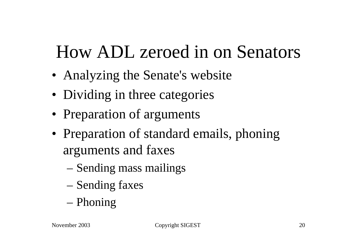### How ADL zeroed in on Senators

- Analyzing the Senate's website
- Dividing in three categories
- Preparation of arguments
- Preparation of standard emails, phoning arguments and faxes
	- Sending mass mailings
	- Sending faxes
	- Phoning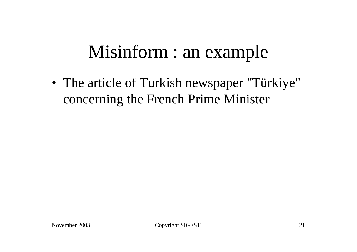### Misinform : an example

• The article of Turkish newspaper "Türkiye" concerning the French Prime Minister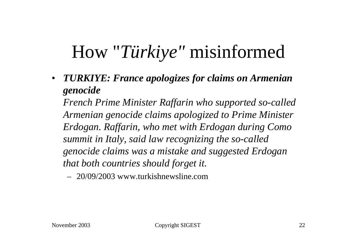### How "*Türkiye"* misinformed

• *TURKIYE: France apologizes for claims on Armenian genocide*

*French Prime Minister Raffarin who supported so-called Armenian genocide claims apologized to Prime Minister Erdogan. Raffarin, who met with Erdogan during Como summit in Italy, said law recognizing the so-called genocide claims was a mistake and suggested Erdogan that both countries should forget it.*

– 20/09/2003 www.turkishnewsline.com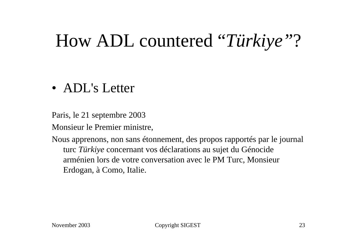### How ADL countered "*Türkiye"*?

#### • ADL's Letter

Paris, le 21 septembre 2003

Monsieur le Premier ministre,

Nous apprenons, non sans étonnement, des propos rapportés par le journal turc *Türkiye* concernant vos déclarations au sujet du Génocide arménien lors de votre conversation avec le PM Turc, Monsieur Erdogan, à Como, Italie.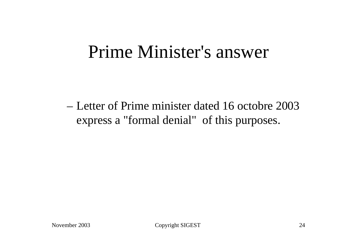#### Prime Minister's answer

– Letter of Prime minister dated 16 octobre 2003 express a "formal denial" of this purposes.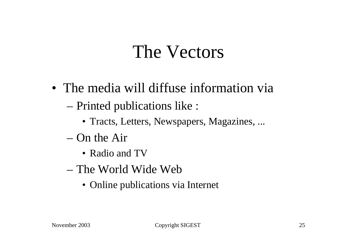#### The Vectors

- The media will diffuse information via
	- Printed publications like :
		- Tracts, Letters, Newspapers, Magazines, ...
	- On the Air
		- Radio and TV
	- The World Wide Web
		- Online publications via Internet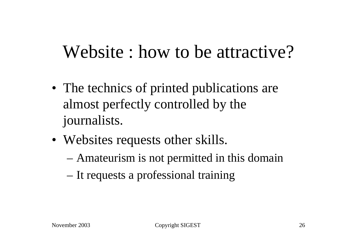#### Website : how to be attractive?

- The technics of printed publications are almost perfectly controlled by the journalists.
- Websites requests other skills.
	- Amateurism is not permitted in this domain
	- It requests a professional training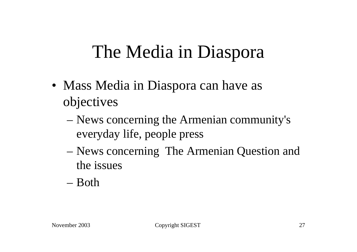### The Media in Diaspora

- Mass Media in Diaspora can have as objectives
	- News concerning the Armenian community's everyday life, people press
	- News concerning The Armenian Question and the issues
	- Both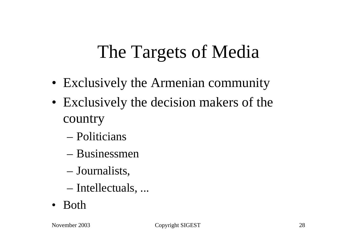## The Targets of Media

- Exclusively the Armenian community
- Exclusively the decision makers of the country
	- Politicians
	- Businessmen
	- Journalists,
	- Intellectuals, ...
- Both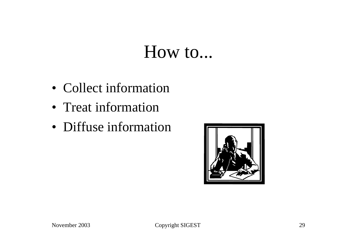#### How to...

- Collect information
- Treat information
- Diffuse information

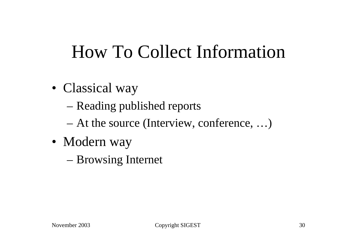### How To Collect Information

- Classical way
	- Reading published reports
	- At the source (Interview, conference, …)
- Modern way
	- Browsing Internet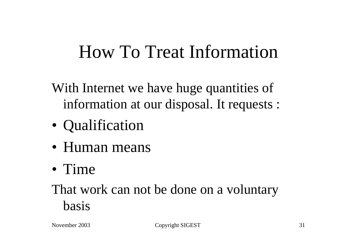#### How To Treat Information

- With Internet we have huge quantities of information at our disposal. It requests :
- Qualification
- Human means
- Time

#### That work can not be done on a voluntary basis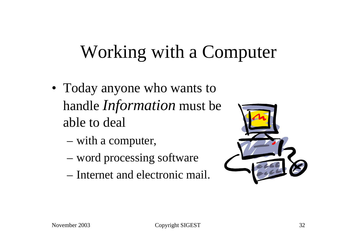## Working with a Computer

- Today anyone who wants to handle *Information* must be able to deal
	- with a computer,
	- word processing software
	- Internet and electronic mail.

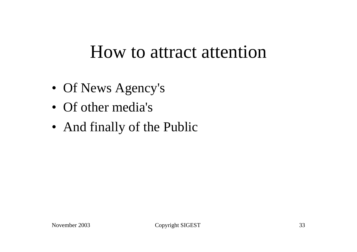#### How to attract attention

- Of News Agency's
- Of other media's
- And finally of the Public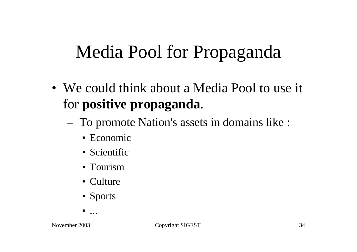## Media Pool for Propaganda

- We could think about a Media Pool to use it for **positive propaganda**.
	- To promote Nation's assets in domains like :
		- Economic
		- Scientific
		- Tourism
		- Culture
		- Sports

• ...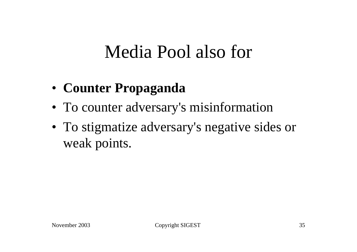#### Media Pool also for

- **Counter Propaganda**
- To counter adversary's misinformation
- To stigmatize adversary's negative sides or weak points.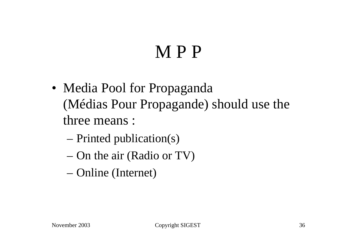### M P P

- Media Pool for Propaganda (Médias Pour Propagande) should use the three means :
	- Printed publication(s)
	- On the air (Radio or TV)
	- Online (Internet)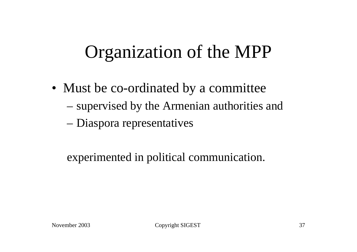### Organization of the MPP

- Must be co-ordinated by a committee
	- supervised by the Armenian authorities and
	- Diaspora representatives

experimented in political communication.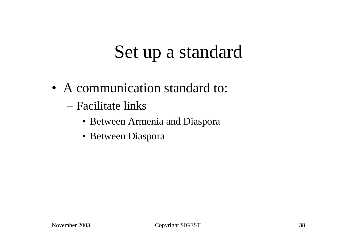### Set up a standard

- A communication standard to:
	- Facilitate links
		- Between Armenia and Diaspora
		- Between Diaspora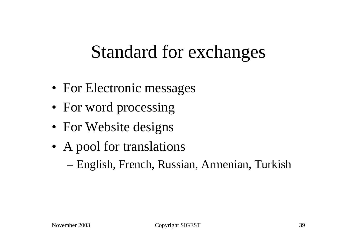#### Standard for exchanges

- For Electronic messages
- For word processing
- For Website designs
- A pool for translations
	- English, French, Russian, Armenian, Turkish